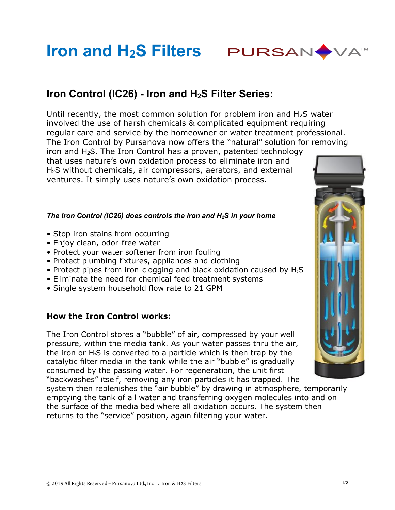# **Iron and H2S Filters PURSAN WATH**

## **Iron Control (IC26) - Iron and H2S Filter Series:**

Until recently, the most common solution for problem iron and  $H_2S$  water involved the use of harsh chemicals & complicated equipment requiring regular care and service by the homeowner or water treatment professional. The Iron Control by Pursanova now offers the "natural" solution for removing

iron and  $H_2S$ . The Iron Control has a proven, patented technology that uses nature's own oxidation process to eliminate iron and H2S without chemicals, air compressors, aerators, and external ventures. It simply uses nature's own oxidation process.

#### *The Iron Control (IC26) does controls the iron and H2S in your home*

- Stop iron stains from occurring
- Enjoy clean, odor-free water
- Protect your water softener from iron fouling
- Protect plumbing fixtures, appliances and clothing
- Protect pipes from iron-clogging and black oxidation caused by  $H_2S$
- Eliminate the need for chemical feed treatment systems
- Single system household flow rate to 21 GPM

#### **How the Iron Control works:**

The Iron Control stores a "bubble" of air, compressed by your well pressure, within the media tank. As your water passes thru the air, the iron or  $H_2S$  is converted to a particle which is then trap by the catalytic filter media in the tank while the air "bubble" is gradually consumed by the passing water. For regeneration, the unit first "backwashes" itself, removing any iron particles it has trapped. The

system then replenishes the "air bubble" by drawing in atmosphere, temporarily emptying the tank of all water and transferring oxygen molecules into and on the surface of the media bed where all oxidation occurs. The system then returns to the "service" position, again filtering your water.